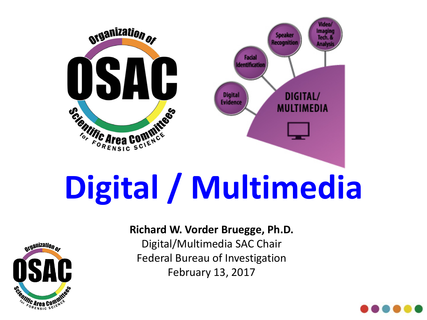

# **Digital / Multimedia**



#### **Richard W. Vorder Bruegge, Ph.D.**

Digital/Multimedia SAC Chair Federal Bureau of Investigation February 13, 2017

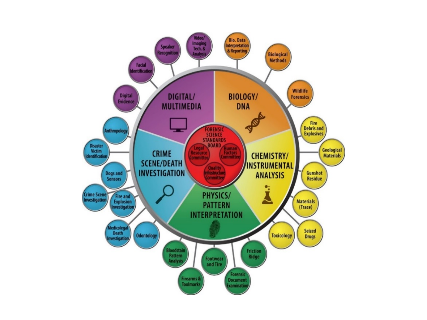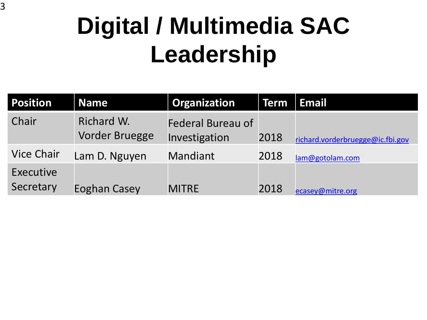## **Digital / Multimedia SAC Leadership**

| <b>Position</b>        | <b>Name</b>                  | <b>Organization</b>                       | <b>Term</b> | <b>Email</b>                     |
|------------------------|------------------------------|-------------------------------------------|-------------|----------------------------------|
| Chair                  | Richard W.<br>Vorder Bruegge | <b>Federal Bureau of</b><br>Investigation | 2018        | richard.vorderbruegge@ic.fbi.gov |
| <b>Vice Chair</b>      | Lam D. Nguyen                | Mandiant                                  | 2018        | lam@gotolam.com                  |
| Executive<br>Secretary | Eoghan Casey                 | <b>MITRE</b>                              | 2018        | ecasey@mitre.org                 |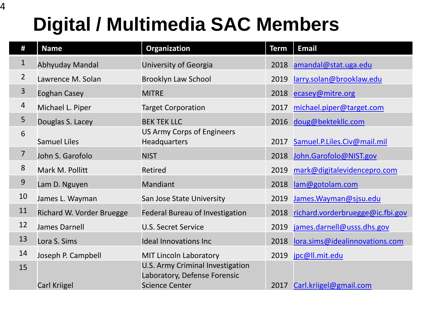#### **Digital / Multimedia SAC Members**

| #              | <b>Name</b>               | Organization                                                            | <b>Term</b> | <b>Email</b>                     |
|----------------|---------------------------|-------------------------------------------------------------------------|-------------|----------------------------------|
| $\mathbf{1}$   | Abhyuday Mandal           | University of Georgia                                                   | 2018        | amandal@stat.uga.edu             |
| $\overline{2}$ | Lawrence M. Solan         | <b>Brooklyn Law School</b>                                              | 2019        | larry.solan@brooklaw.edu         |
| 3              | <b>Eoghan Casey</b>       | <b>MITRE</b>                                                            | 2018        | ecasey@mitre.org                 |
| $\overline{4}$ | Michael L. Piper          | <b>Target Corporation</b>                                               | 2017        | michael.piper@target.com         |
| 5              | Douglas S. Lacey          | <b>BEK TEK LLC</b>                                                      | 2016        | doug@bektekllc.com               |
| 6              | <b>Samuel Liles</b>       | <b>US Army Corps of Engineers</b><br>Headquarters                       | 2017        | Samuel.P.Liles.Civ@mail.mil      |
| $\overline{7}$ | John S. Garofolo          | <b>NIST</b>                                                             | 2018        | John.Garofolo@NIST.gov           |
| $8\,$          | Mark M. Pollitt           | Retired                                                                 | 2019        | mark@digitalevidencepro.com      |
| $9$            | Lam D. Nguyen             | Mandiant                                                                | 2018        | lam@gotolam.com                  |
| 10             | James L. Wayman           | San Jose State University                                               | 2019        | James. Wayman@sjsu.edu           |
| 11             | Richard W. Vorder Bruegge | <b>Federal Bureau of Investigation</b>                                  | 2018        | richard.vorderbruegge@ic.fbi.gov |
| 12             | <b>James Darnell</b>      | <b>U.S. Secret Service</b>                                              | 2019        | james.darnell@usss.dhs.gov       |
| 13             | Lora S. Sims              | <b>Ideal Innovations Inc</b>                                            | 2018        | lora.sims@idealinnovations.com   |
| 14             | Joseph P. Campbell        | <b>MIT Lincoln Laboratory</b>                                           | 2019        | jpc@ll.mit.edu                   |
| 15             |                           | <b>U.S. Army Criminal Investigation</b><br>Laboratory, Defense Forensic |             |                                  |
|                | <b>Carl Kriigel</b>       | <b>Science Center</b>                                                   | 2017        | Carl.kriigel@gmail.com           |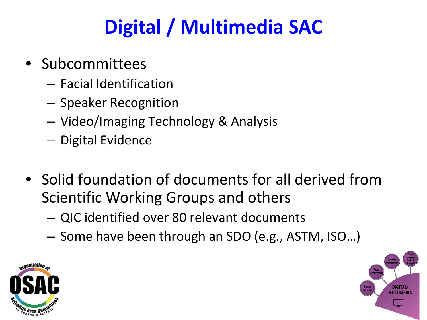### **Digital / Multimedia SAC**

- Subcommittees
	- Facial Identification
	- Speaker Recognition
	- Video/Imaging Technology & Analysis
	- Digital Evidence
- Solid foundation of documents for all derived from Scientific Working Groups and others
	- QIC identified over 80 relevant documents
	- Some have been through an SDO (e.g., ASTM, ISO…)



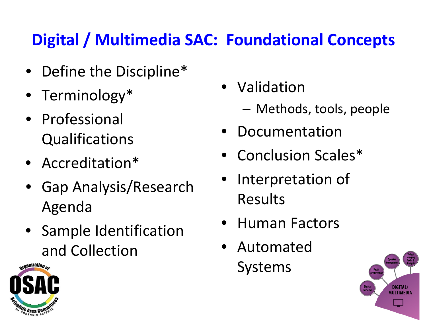#### **Digital / Multimedia SAC: Foundational Concepts**

- Define the Discipline\*
- Terminology\*
- Professional Qualifications
- Accreditation\*
- Gap Analysis/Research Agenda
- Sample Identification and Collection
- Validation
	- Methods, tools, people
	- Documentation
- Conclusion Scales\*
- Interpretation of Results
- Human Factors
- Automated Systems